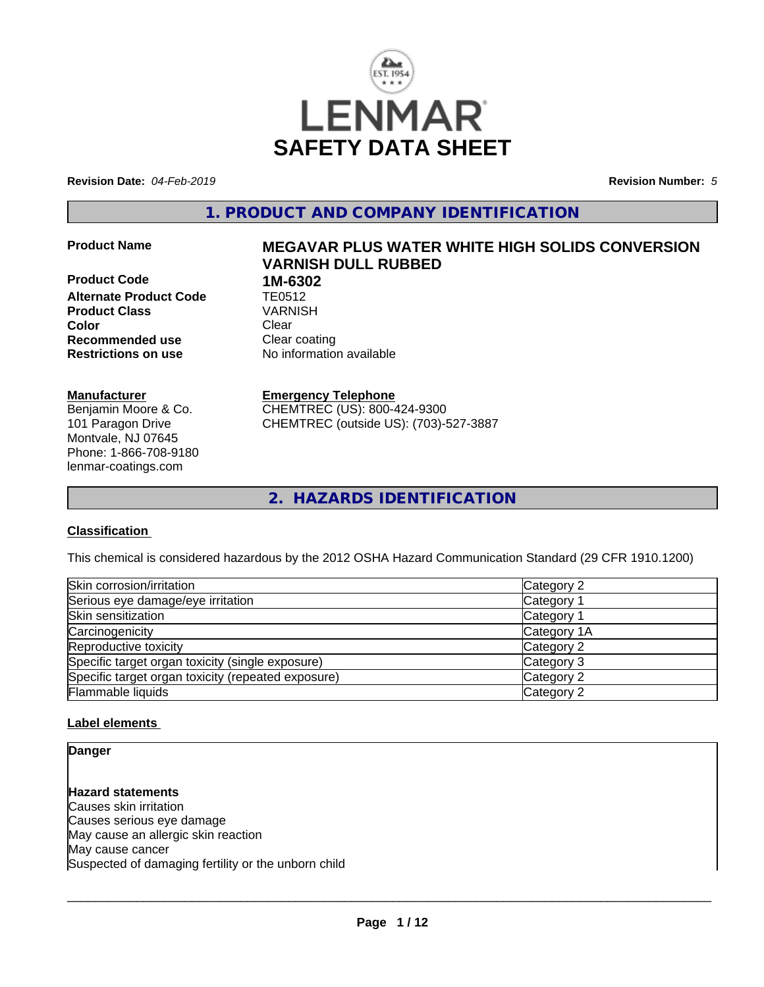

**Revision Date:** *04-Feb-2019* **Revision Number:** *5*

**1. PRODUCT AND COMPANY IDENTIFICATION**

**Product Code 1M-6302**<br>**Alternate Product Code 11 TE0512 Alternate Product Code TE0512<br>Product Class The VARNISH Product Class Color** Clear Clear **Recommended use** Clear coating **Restrictions on use** No information available

#### **Manufacturer**

Benjamin Moore & Co. 101 Paragon Drive Montvale, NJ 07645 Phone: 1-866-708-9180 lenmar-coatings.com

# **Product Name MEGAVAR PLUS WATER WHITE HIGH SOLIDS CONVERSION VARNISH DULL RUBBED**

**Emergency Telephone** CHEMTREC (US): 800-424-9300

CHEMTREC (outside US): (703)-527-3887

**2. HAZARDS IDENTIFICATION**

## **Classification**

This chemical is considered hazardous by the 2012 OSHA Hazard Communication Standard (29 CFR 1910.1200)

| Skin corrosion/irritation                          | Category 2  |  |
|----------------------------------------------------|-------------|--|
| Serious eye damage/eye irritation                  | Category 1  |  |
| Skin sensitization                                 | Category 1  |  |
| Carcinogenicity                                    | Category 1A |  |
| Reproductive toxicity                              | Category 2  |  |
| Specific target organ toxicity (single exposure)   | Category 3  |  |
| Specific target organ toxicity (repeated exposure) | Category 2  |  |
| Flammable liquids                                  | Category 2  |  |

## **Label elements**

**Danger**

**Hazard statements** Causes skin irritation Causes serious eye damage May cause an allergic skin reaction May cause cancer Suspected of damaging fertility or the unborn child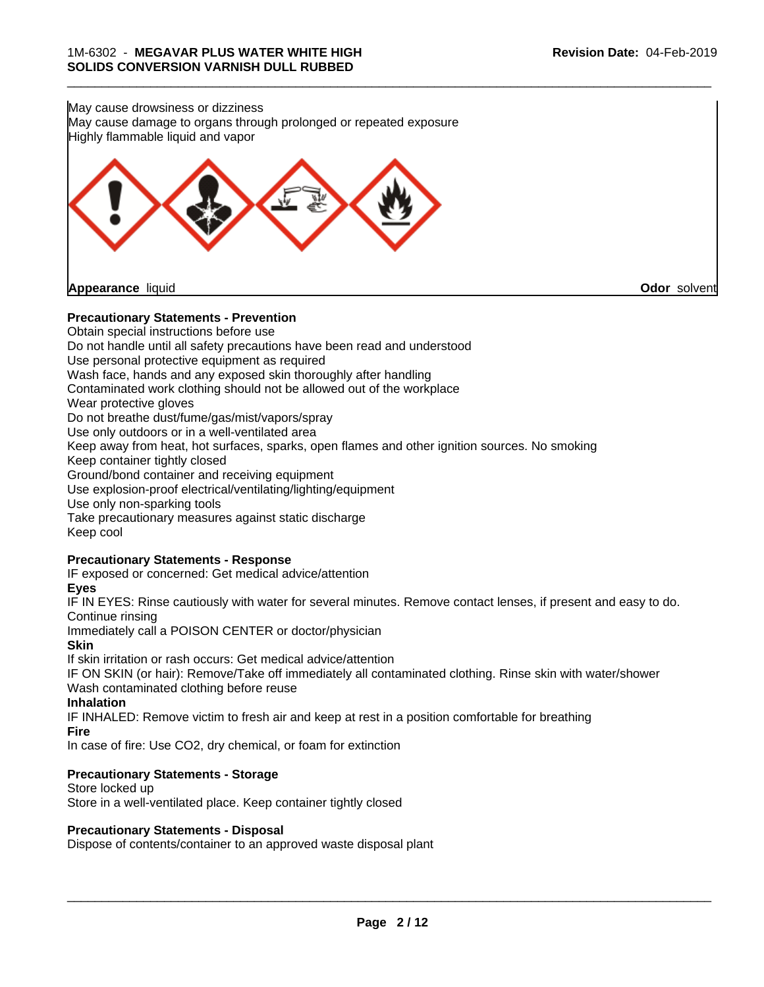

**Precautionary Statements - Prevention**

Obtain special instructions before use Do not handle until all safety precautions have been read and understood Use personal protective equipment as required Wash face, hands and any exposed skin thoroughly after handling Contaminated work clothing should not be allowed out of the workplace Wear protective gloves Do not breathe dust/fume/gas/mist/vapors/spray Use only outdoors or in a well-ventilated area Keep away from heat, hot surfaces, sparks, open flames and other ignition sources. No smoking Keep container tightly closed Ground/bond container and receiving equipment Use explosion-proof electrical/ventilating/lighting/equipment Use only non-sparking tools Take precautionary measures against static discharge Keep cool **Precautionary Statements - Response** IF exposed or concerned: Get medical advice/attention **Eyes**

IF IN EYES: Rinse cautiously with water for several minutes. Remove contact lenses, if present and easy to do. Continue rinsing

Immediately call a POISON CENTER or doctor/physician

**Skin**

If skin irritation or rash occurs: Get medical advice/attention

IF ON SKIN (or hair): Remove/Take off immediately all contaminated clothing. Rinse skin with water/shower Wash contaminated clothing before reuse

**Inhalation**

IF INHALED: Remove victim to fresh air and keep atrest in a position comfortable for breathing **Fire**

In case of fire: Use CO2, dry chemical, or foam for extinction

## **Precautionary Statements - Storage**

Store locked up Store in a well-ventilated place. Keep container tightly closed

#### **Precautionary Statements - Disposal**

Dispose of contents/container to an approved waste disposal plant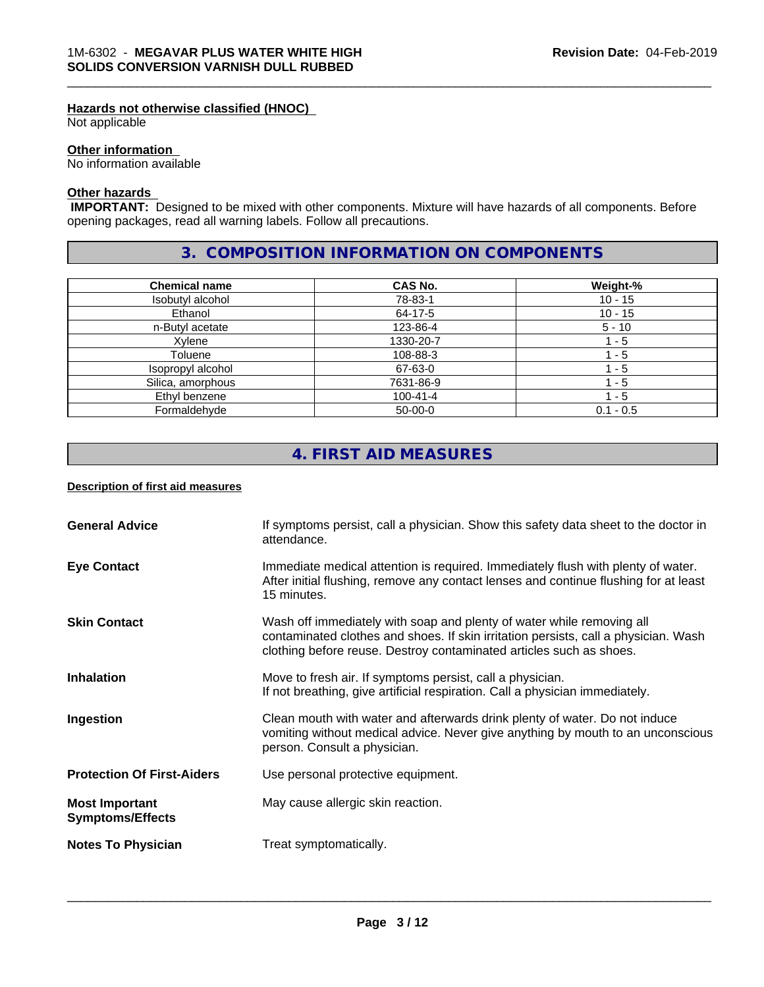### **Hazards not otherwise classified (HNOC)**

Not applicable

## **Other information**

No information available

## **Other hazards**

 **IMPORTANT:** Designed to be mixed with other components. Mixture will have hazards of all components. Before opening packages, read all warning labels. Follow all precautions.

# **3. COMPOSITION INFORMATION ON COMPONENTS**

\_\_\_\_\_\_\_\_\_\_\_\_\_\_\_\_\_\_\_\_\_\_\_\_\_\_\_\_\_\_\_\_\_\_\_\_\_\_\_\_\_\_\_\_\_\_\_\_\_\_\_\_\_\_\_\_\_\_\_\_\_\_\_\_\_\_\_\_\_\_\_\_\_\_\_\_\_\_\_\_\_\_\_\_\_\_\_\_\_\_\_\_\_

| <b>Chemical name</b> | <b>CAS No.</b> | Weight-%    |
|----------------------|----------------|-------------|
| Isobutyl alcohol     | 78-83-1        | $10 - 15$   |
| Ethanol              | 64-17-5        | $10 - 15$   |
| n-Butyl acetate      | 123-86-4       | $5 - 10$    |
| Xvlene               | 1330-20-7      | - 5         |
| Toluene              | 108-88-3       | - 5         |
| Isopropyl alcohol    | 67-63-0        | 1 - 5       |
| Silica, amorphous    | 7631-86-9      | - 5         |
| Ethyl benzene        | $100 - 41 - 4$ | - 5         |
| Formaldehyde         | $50-00-0$      | $0.1 - 0.5$ |

# **4. FIRST AID MEASURES**

## **Description of first aid measures**

| <b>General Advice</b>                            | If symptoms persist, call a physician. Show this safety data sheet to the doctor in<br>attendance.                                                                                                                                  |
|--------------------------------------------------|-------------------------------------------------------------------------------------------------------------------------------------------------------------------------------------------------------------------------------------|
| <b>Eye Contact</b>                               | Immediate medical attention is required. Immediately flush with plenty of water.<br>After initial flushing, remove any contact lenses and continue flushing for at least<br>15 minutes.                                             |
| <b>Skin Contact</b>                              | Wash off immediately with soap and plenty of water while removing all<br>contaminated clothes and shoes. If skin irritation persists, call a physician. Wash<br>clothing before reuse. Destroy contaminated articles such as shoes. |
| <b>Inhalation</b>                                | Move to fresh air. If symptoms persist, call a physician.<br>If not breathing, give artificial respiration. Call a physician immediately.                                                                                           |
| Ingestion                                        | Clean mouth with water and afterwards drink plenty of water. Do not induce<br>vomiting without medical advice. Never give anything by mouth to an unconscious<br>person. Consult a physician.                                       |
| <b>Protection Of First-Aiders</b>                | Use personal protective equipment.                                                                                                                                                                                                  |
| <b>Most Important</b><br><b>Symptoms/Effects</b> | May cause allergic skin reaction.                                                                                                                                                                                                   |
| <b>Notes To Physician</b>                        | Treat symptomatically.                                                                                                                                                                                                              |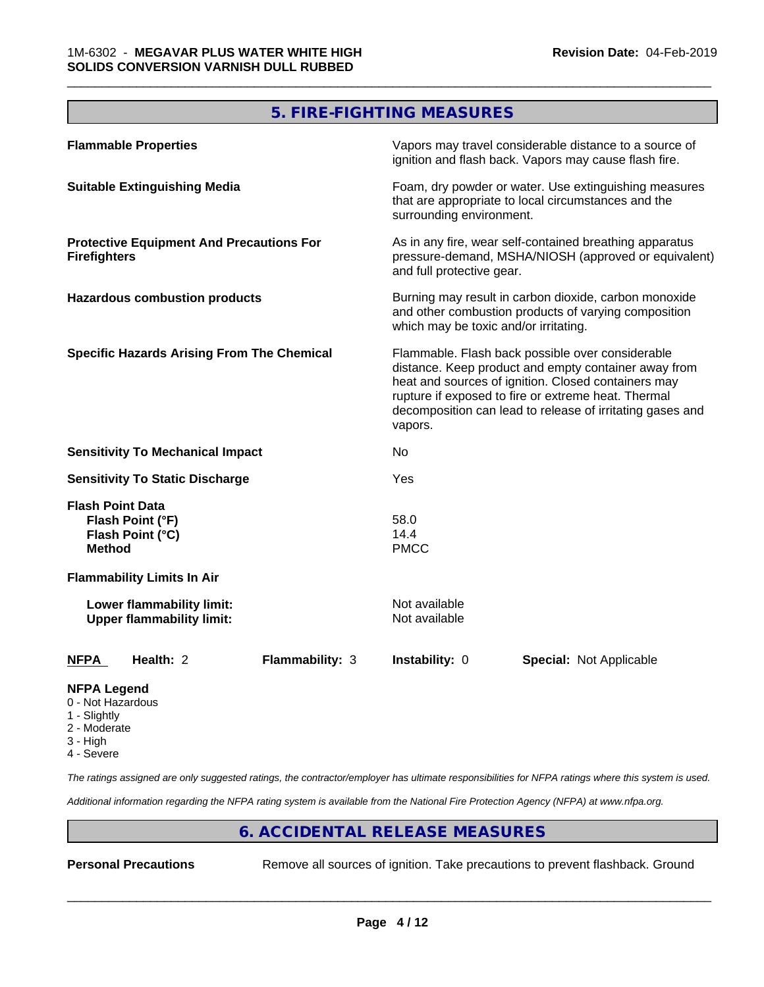# **5. FIRE-FIGHTING MEASURES**

\_\_\_\_\_\_\_\_\_\_\_\_\_\_\_\_\_\_\_\_\_\_\_\_\_\_\_\_\_\_\_\_\_\_\_\_\_\_\_\_\_\_\_\_\_\_\_\_\_\_\_\_\_\_\_\_\_\_\_\_\_\_\_\_\_\_\_\_\_\_\_\_\_\_\_\_\_\_\_\_\_\_\_\_\_\_\_\_\_\_\_\_\_

| <b>Flammable Properties</b>                                                      | Vapors may travel considerable distance to a source of<br>ignition and flash back. Vapors may cause flash fire.                                                                                                                                                                                |
|----------------------------------------------------------------------------------|------------------------------------------------------------------------------------------------------------------------------------------------------------------------------------------------------------------------------------------------------------------------------------------------|
| <b>Suitable Extinguishing Media</b>                                              | Foam, dry powder or water. Use extinguishing measures<br>that are appropriate to local circumstances and the<br>surrounding environment.                                                                                                                                                       |
| <b>Protective Equipment And Precautions For</b><br><b>Firefighters</b>           | As in any fire, wear self-contained breathing apparatus<br>pressure-demand, MSHA/NIOSH (approved or equivalent)<br>and full protective gear.                                                                                                                                                   |
| <b>Hazardous combustion products</b>                                             | Burning may result in carbon dioxide, carbon monoxide<br>and other combustion products of varying composition<br>which may be toxic and/or irritating.                                                                                                                                         |
| <b>Specific Hazards Arising From The Chemical</b>                                | Flammable. Flash back possible over considerable<br>distance. Keep product and empty container away from<br>heat and sources of ignition. Closed containers may<br>rupture if exposed to fire or extreme heat. Thermal<br>decomposition can lead to release of irritating gases and<br>vapors. |
| <b>Sensitivity To Mechanical Impact</b>                                          | No                                                                                                                                                                                                                                                                                             |
| <b>Sensitivity To Static Discharge</b>                                           | Yes                                                                                                                                                                                                                                                                                            |
| <b>Flash Point Data</b><br>Flash Point (°F)<br>Flash Point (°C)<br><b>Method</b> | 58.0<br>14.4<br><b>PMCC</b>                                                                                                                                                                                                                                                                    |
| <b>Flammability Limits In Air</b>                                                |                                                                                                                                                                                                                                                                                                |
| Lower flammability limit:<br><b>Upper flammability limit:</b>                    | Not available<br>Not available                                                                                                                                                                                                                                                                 |
| Health: 2<br>Flammability: 3<br><b>NFPA</b>                                      | Instability: 0<br><b>Special: Not Applicable</b>                                                                                                                                                                                                                                               |
| <b>NFPA Legend</b><br>0 - Not Hazardous                                          |                                                                                                                                                                                                                                                                                                |

- 1 Slightly
- 2 Moderate
- 3 High
- 4 Severe

*The ratings assigned are only suggested ratings, the contractor/employer has ultimate responsibilities for NFPA ratings where this system is used.*

*Additional information regarding the NFPA rating system is available from the National Fire Protection Agency (NFPA) at www.nfpa.org.*

# **6. ACCIDENTAL RELEASE MEASURES**

**Personal Precautions** Remove all sources of ignition. Take precautions to prevent flashback. Ground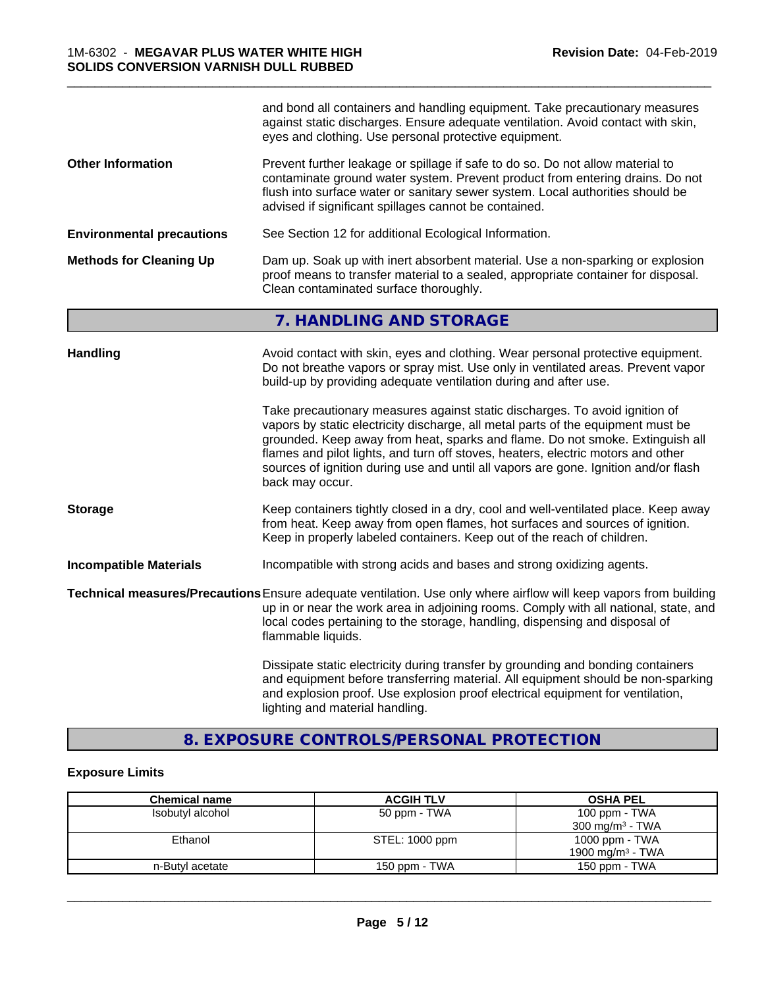|                                  | and bond all containers and handling equipment. Take precautionary measures<br>against static discharges. Ensure adequate ventilation. Avoid contact with skin,<br>eyes and clothing. Use personal protective equipment.                                                                                                                                                                                   |  |
|----------------------------------|------------------------------------------------------------------------------------------------------------------------------------------------------------------------------------------------------------------------------------------------------------------------------------------------------------------------------------------------------------------------------------------------------------|--|
| <b>Other Information</b>         | Prevent further leakage or spillage if safe to do so. Do not allow material to<br>contaminate ground water system. Prevent product from entering drains. Do not<br>flush into surface water or sanitary sewer system. Local authorities should be<br>advised if significant spillages cannot be contained.                                                                                                 |  |
| <b>Environmental precautions</b> | See Section 12 for additional Ecological Information.                                                                                                                                                                                                                                                                                                                                                      |  |
| <b>Methods for Cleaning Up</b>   | Dam up. Soak up with inert absorbent material. Use a non-sparking or explosion<br>proof means to transfer material to a sealed, appropriate container for disposal.<br>Clean contaminated surface thoroughly.                                                                                                                                                                                              |  |
|                                  | 7. HANDLING AND STORAGE                                                                                                                                                                                                                                                                                                                                                                                    |  |
| <b>Handling</b>                  | Avoid contact with skin, eyes and clothing. Wear personal protective equipment.<br>Do not breathe vapors or spray mist. Use only in ventilated areas. Prevent vapor<br>build-up by providing adequate ventilation during and after use.<br>Take precautionary measures against static discharges. To avoid ignition of<br>vapors by static electricity discharge, all metal parts of the equipment must be |  |
|                                  | grounded. Keep away from heat, sparks and flame. Do not smoke. Extinguish all<br>flames and pilot lights, and turn off stoves, heaters, electric motors and other<br>sources of ignition during use and until all vapors are gone. Ignition and/or flash<br>back may occur.                                                                                                                                |  |
| <b>Storage</b>                   | Keep containers tightly closed in a dry, cool and well-ventilated place. Keep away<br>from heat. Keep away from open flames, hot surfaces and sources of ignition.<br>Keep in properly labeled containers. Keep out of the reach of children.                                                                                                                                                              |  |
| <b>Incompatible Materials</b>    | Incompatible with strong acids and bases and strong oxidizing agents.                                                                                                                                                                                                                                                                                                                                      |  |
|                                  | Technical measures/Precautions Ensure adequate ventilation. Use only where airflow will keep vapors from building<br>up in or near the work area in adjoining rooms. Comply with all national, state, and<br>local codes pertaining to the storage, handling, dispensing and disposal of<br>flammable liquids.                                                                                             |  |
|                                  | Dissipate static electricity during transfer by grounding and bonding containers<br>and equipment before transferring material. All equipment should be non-sparking<br>and explosion proof. Use explosion proof electrical equipment for ventilation,<br>lighting and material handling.                                                                                                                  |  |

\_\_\_\_\_\_\_\_\_\_\_\_\_\_\_\_\_\_\_\_\_\_\_\_\_\_\_\_\_\_\_\_\_\_\_\_\_\_\_\_\_\_\_\_\_\_\_\_\_\_\_\_\_\_\_\_\_\_\_\_\_\_\_\_\_\_\_\_\_\_\_\_\_\_\_\_\_\_\_\_\_\_\_\_\_\_\_\_\_\_\_\_\_

# **8. EXPOSURE CONTROLS/PERSONAL PROTECTION**

# **Exposure Limits**

| <b>Chemical name</b> | <b>ACGIH TLV</b> | <b>OSHA PEL</b>              |
|----------------------|------------------|------------------------------|
| Isobutyl alcohol     | 50 ppm - TWA     | 100 ppm - TWA                |
|                      |                  | $300 \text{ mg/m}^3$ - TWA   |
| Ethanol              | STEL: 1000 ppm   | 1000 ppm - TWA               |
|                      |                  | 1900 mg/m <sup>3</sup> - TWA |
| n-Butyl acetate      | 150 ppm - TWA    | 150 ppm - TWA                |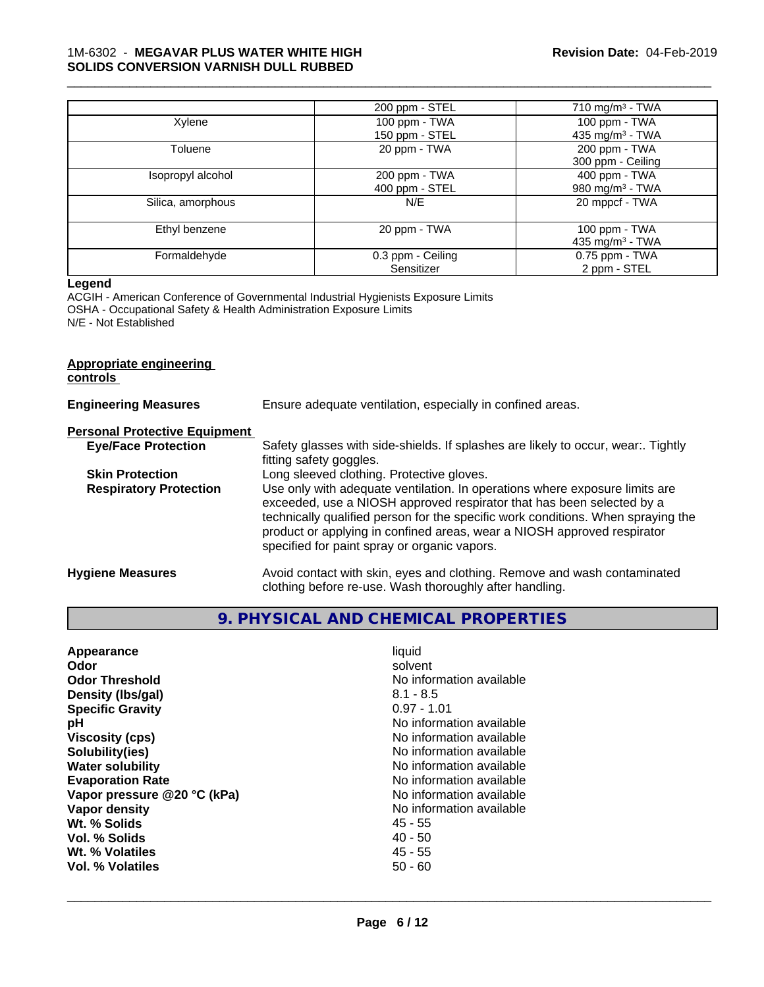### 1M-6302 - **MEGAVAR PLUS WATER WHITE HIGH SOLIDS CONVERSION VARNISH DULL RUBBED**

|                   | 200 ppm - STEL    | 710 mg/m $3$ - TWA          |
|-------------------|-------------------|-----------------------------|
| Xylene            | 100 ppm - TWA     | 100 ppm - TWA               |
|                   | 150 ppm - STEL    | 435 mg/m <sup>3</sup> - TWA |
| Toluene           | 20 ppm - TWA      | 200 ppm - TWA               |
|                   |                   | 300 ppm - Ceiling           |
| Isopropyl alcohol | 200 ppm - TWA     | $400$ ppm $-$ TWA           |
|                   | 400 ppm - STEL    | 980 mg/m $3$ - TWA          |
| Silica, amorphous | N/E               | 20 mppcf - TWA              |
| Ethyl benzene     | 20 ppm - TWA      | 100 ppm $-$ TWA             |
|                   |                   | 435 mg/m <sup>3</sup> - TWA |
| Formaldehyde      | 0.3 ppm - Ceiling | 0.75 ppm - TWA              |
|                   | Sensitizer        | 2 ppm - STEL                |

\_\_\_\_\_\_\_\_\_\_\_\_\_\_\_\_\_\_\_\_\_\_\_\_\_\_\_\_\_\_\_\_\_\_\_\_\_\_\_\_\_\_\_\_\_\_\_\_\_\_\_\_\_\_\_\_\_\_\_\_\_\_\_\_\_\_\_\_\_\_\_\_\_\_\_\_\_\_\_\_\_\_\_\_\_\_\_\_\_\_\_\_\_

## **Legend**

ACGIH - American Conference of Governmental Industrial Hygienists Exposure Limits OSHA - Occupational Safety & Health Administration Exposure Limits N/E - Not Established

#### **Appropriate engineering controls**

| <b>Engineering Measures</b>          | Ensure adequate ventilation, especially in confined areas.                                                                                                                                                                                                                                                                                                          |
|--------------------------------------|---------------------------------------------------------------------------------------------------------------------------------------------------------------------------------------------------------------------------------------------------------------------------------------------------------------------------------------------------------------------|
| <b>Personal Protective Equipment</b> |                                                                                                                                                                                                                                                                                                                                                                     |
| <b>Eye/Face Protection</b>           | Safety glasses with side-shields. If splashes are likely to occur, wear:. Tightly<br>fitting safety goggles.                                                                                                                                                                                                                                                        |
| <b>Skin Protection</b>               | Long sleeved clothing. Protective gloves.                                                                                                                                                                                                                                                                                                                           |
| <b>Respiratory Protection</b>        | Use only with adequate ventilation. In operations where exposure limits are<br>exceeded, use a NIOSH approved respirator that has been selected by a<br>technically qualified person for the specific work conditions. When spraying the<br>product or applying in confined areas, wear a NIOSH approved respirator<br>specified for paint spray or organic vapors. |
| <b>Hygiene Measures</b>              | Avoid contact with skin, eyes and clothing. Remove and wash contaminated<br>clothing before re-use. Wash thoroughly after handling.                                                                                                                                                                                                                                 |

# **9. PHYSICAL AND CHEMICAL PROPERTIES**

| Appearance                  | liquid                   |
|-----------------------------|--------------------------|
| Odor                        | solvent                  |
| <b>Odor Threshold</b>       | No information available |
| Density (Ibs/gal)           | $8.1 - 8.5$              |
| <b>Specific Gravity</b>     | $0.97 - 1.01$            |
| рH                          | No information available |
| <b>Viscosity (cps)</b>      | No information available |
| Solubility(ies)             | No information available |
| <b>Water solubility</b>     | No information available |
| <b>Evaporation Rate</b>     | No information available |
| Vapor pressure @20 °C (kPa) | No information available |
| Vapor density               | No information available |
|                             |                          |
| Wt. % Solids                | 45 - 55                  |
| Vol. % Solids               | $40 - 50$                |
| Wt. % Volatiles             | $45 - 55$                |
| Vol. % Volatiles            | 50 - 60                  |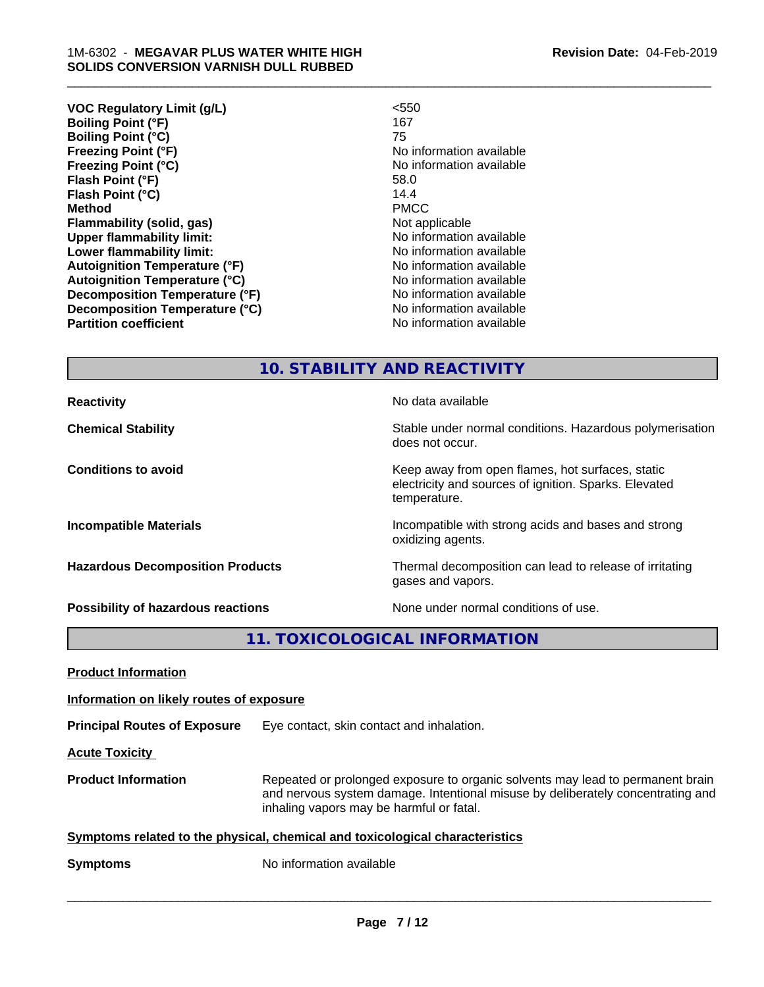| < 550                    |
|--------------------------|
| 167                      |
| 75                       |
| No information available |
| No information available |
| 58.0                     |
| 14.4                     |
| <b>PMCC</b>              |
| Not applicable           |
| No information available |
| No information available |
| No information available |
| No information available |
| No information available |
| No information available |
| No information available |
|                          |

\_\_\_\_\_\_\_\_\_\_\_\_\_\_\_\_\_\_\_\_\_\_\_\_\_\_\_\_\_\_\_\_\_\_\_\_\_\_\_\_\_\_\_\_\_\_\_\_\_\_\_\_\_\_\_\_\_\_\_\_\_\_\_\_\_\_\_\_\_\_\_\_\_\_\_\_\_\_\_\_\_\_\_\_\_\_\_\_\_\_\_\_\_

# **10. STABILITY AND REACTIVITY**

does not occur.

temperature.

oxidizing agents.

gases and vapors.

electricity and sources of ignition. Sparks. Elevated

**Reactivity No data available Chemical Stability Stability** Stable under normal conditions. Hazardous polymerisation

**Conditions to avoid Keep away from open flames, hot surfaces, static conditions to avoid** 

**Incompatible Materials Incompatible with strong acids and bases and strong** 

**Hazardous Decomposition Products** Thermal decomposition can lead to release of irritating

**Possibility of hazardous reactions** None under normal conditions of use.

**11. TOXICOLOGICAL INFORMATION**

**Product Information**

**Information on likely routes of exposure**

**Principal Routes of Exposure** Eye contact, skin contact and inhalation.

**Acute Toxicity** 

**Product Information** Repeated or prolonged exposure to organic solvents may lead to permanent brain and nervous system damage. Intentional misuse by deliberately concentrating and inhaling vapors may be harmful or fatal.

 $\overline{\phantom{a}}$  ,  $\overline{\phantom{a}}$  ,  $\overline{\phantom{a}}$  ,  $\overline{\phantom{a}}$  ,  $\overline{\phantom{a}}$  ,  $\overline{\phantom{a}}$  ,  $\overline{\phantom{a}}$  ,  $\overline{\phantom{a}}$  ,  $\overline{\phantom{a}}$  ,  $\overline{\phantom{a}}$  ,  $\overline{\phantom{a}}$  ,  $\overline{\phantom{a}}$  ,  $\overline{\phantom{a}}$  ,  $\overline{\phantom{a}}$  ,  $\overline{\phantom{a}}$  ,  $\overline{\phantom{a}}$ 

**Symptoms** related to the physical, chemical and toxicological characteristics

**Symptoms** No information available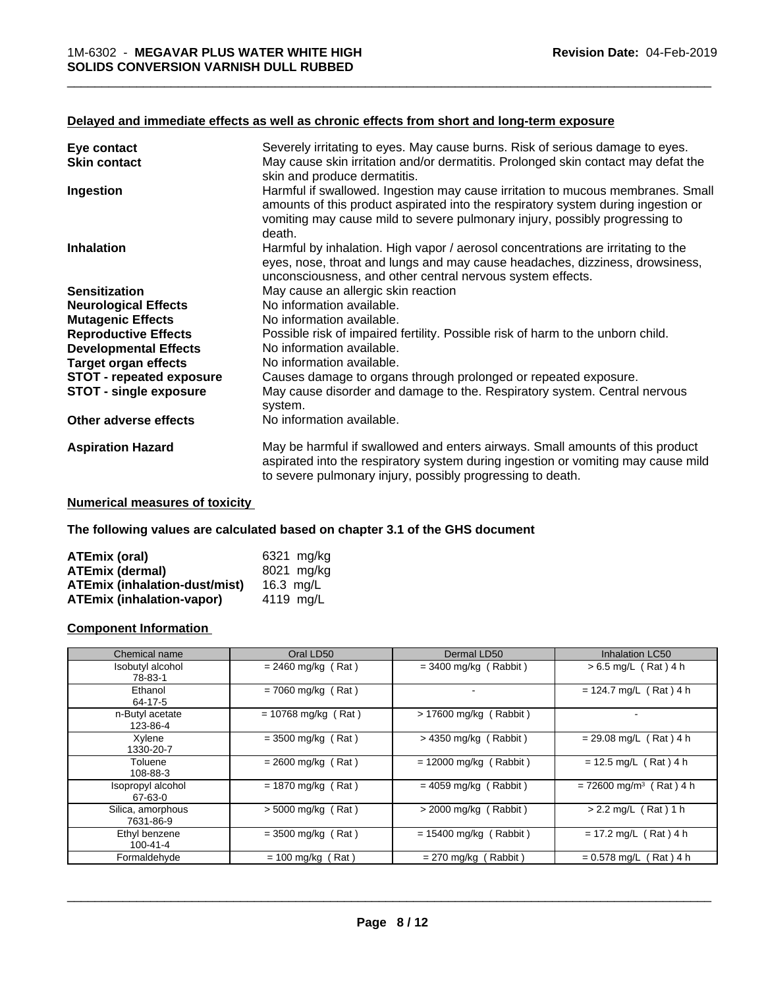#### **Delayed and immediate effects as well as chronic effects from short and long-term exposure**

| Eye contact                     | Severely irritating to eyes. May cause burns. Risk of serious damage to eyes.                                                                                                                                                                       |
|---------------------------------|-----------------------------------------------------------------------------------------------------------------------------------------------------------------------------------------------------------------------------------------------------|
| <b>Skin contact</b>             | May cause skin irritation and/or dermatitis. Prolonged skin contact may defat the<br>skin and produce dermatitis.                                                                                                                                   |
| Ingestion                       | Harmful if swallowed. Ingestion may cause irritation to mucous membranes. Small<br>amounts of this product aspirated into the respiratory system during ingestion or<br>vomiting may cause mild to severe pulmonary injury, possibly progressing to |
| <b>Inhalation</b>               | death.<br>Harmful by inhalation. High vapor / aerosol concentrations are irritating to the                                                                                                                                                          |
|                                 | eyes, nose, throat and lungs and may cause headaches, dizziness, drowsiness,<br>unconsciousness, and other central nervous system effects.                                                                                                          |
| <b>Sensitization</b>            | May cause an allergic skin reaction                                                                                                                                                                                                                 |
| <b>Neurological Effects</b>     | No information available.                                                                                                                                                                                                                           |
| <b>Mutagenic Effects</b>        | No information available.                                                                                                                                                                                                                           |
| <b>Reproductive Effects</b>     | Possible risk of impaired fertility. Possible risk of harm to the unborn child.                                                                                                                                                                     |
| <b>Developmental Effects</b>    | No information available.                                                                                                                                                                                                                           |
| <b>Target organ effects</b>     | No information available.                                                                                                                                                                                                                           |
| <b>STOT - repeated exposure</b> | Causes damage to organs through prolonged or repeated exposure.                                                                                                                                                                                     |
| <b>STOT - single exposure</b>   | May cause disorder and damage to the. Respiratory system. Central nervous<br>system.                                                                                                                                                                |
| Other adverse effects           | No information available.                                                                                                                                                                                                                           |
| <b>Aspiration Hazard</b>        | May be harmful if swallowed and enters airways. Small amounts of this product<br>aspirated into the respiratory system during ingestion or vomiting may cause mild<br>to severe pulmonary injury, possibly progressing to death.                    |

## **Numerical measures of toxicity**

**The following values are calculated based on chapter 3.1 of the GHS document**

| ATEmix (oral)                        | 6321 ma/ka |
|--------------------------------------|------------|
| <b>ATEmix (dermal)</b>               | 8021 mg/ka |
| <b>ATEmix (inhalation-dust/mist)</b> | 16.3 ma/L  |
| <b>ATEmix (inhalation-vapor)</b>     | 4119 ma/L  |

### **Component Information**

| Chemical name                   | Oral LD50             | Dermal LD50              | Inhalation LC50                       |
|---------------------------------|-----------------------|--------------------------|---------------------------------------|
| Isobutyl alcohol<br>78-83-1     | $= 2460$ mg/kg (Rat)  | $=$ 3400 mg/kg (Rabbit)  | $> 6.5$ mg/L (Rat) 4 h                |
| Ethanol<br>64-17-5              | $= 7060$ mg/kg (Rat)  | ۰                        | $= 124.7$ mg/L (Rat) 4 h              |
| n-Butyl acetate<br>123-86-4     | $= 10768$ mg/kg (Rat) | > 17600 mg/kg (Rabbit)   |                                       |
| Xylene<br>1330-20-7             | $= 3500$ mg/kg (Rat)  | $>$ 4350 mg/kg (Rabbit)  | $= 29.08$ mg/L (Rat) 4 h              |
| Toluene<br>108-88-3             | $= 2600$ mg/kg (Rat)  | $= 12000$ mg/kg (Rabbit) | $= 12.5$ mg/L (Rat) 4 h               |
| Isopropyl alcohol<br>67-63-0    | $= 1870$ mg/kg (Rat)  | $= 4059$ mg/kg (Rabbit)  | $= 72600$ mg/m <sup>3</sup> (Rat) 4 h |
| Silica, amorphous<br>7631-86-9  | $> 5000$ mg/kg (Rat)  | $>$ 2000 mg/kg (Rabbit)  | $> 2.2$ mg/L (Rat) 1 h                |
| Ethyl benzene<br>$100 - 41 - 4$ | $= 3500$ mg/kg (Rat)  | $= 15400$ mg/kg (Rabbit) | $= 17.2$ mg/L (Rat) 4 h               |
| Formaldehyde                    | $= 100$ mg/kg (Rat)   | (Rabbit)<br>= 270 mg/kg  | $= 0.578$ mg/L (Rat) 4 h              |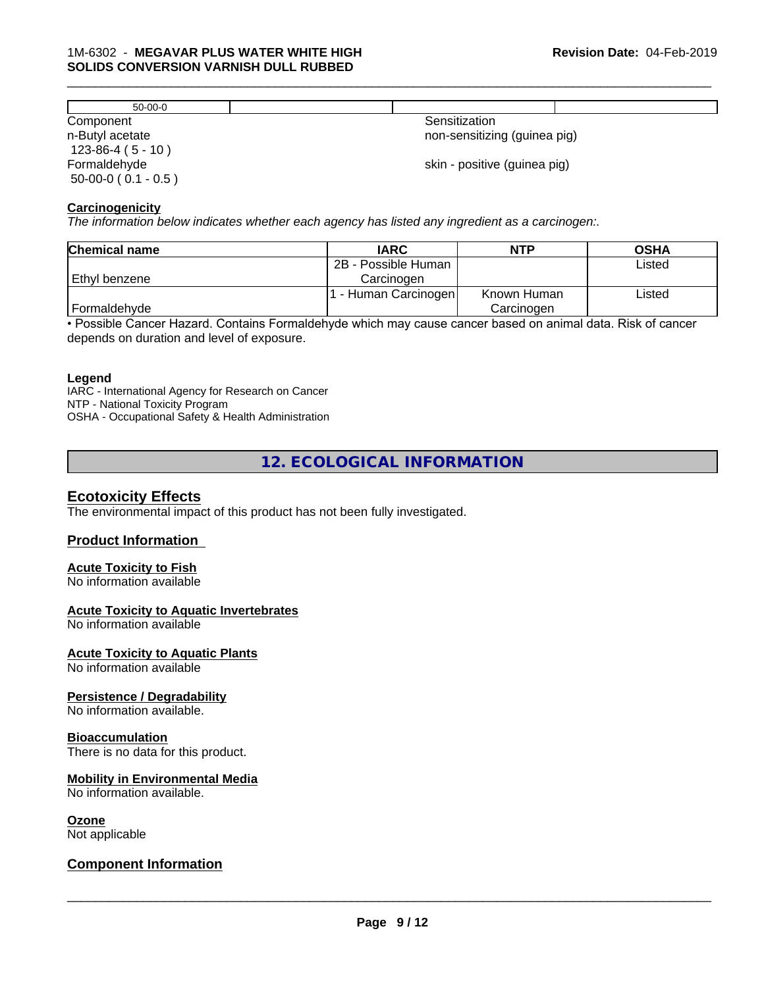| $50-00-0$                           |                              |
|-------------------------------------|------------------------------|
| Component                           | Sensitization                |
| n-Butyl acetate<br>$123-86-4(5-10)$ | non-sensitizing (guinea pig) |
| Formaldehyde                        | skin - positive (guinea pig) |
| $50-00-0$ ( $0.1 - 0.5$ )           |                              |

#### **Carcinogenicity**

*The information below indicateswhether each agency has listed any ingredient as a carcinogen:.*

| <b>Chemical name</b> | <b>IARC</b>         | <b>NTP</b>  | <b>OSHA</b> |  |
|----------------------|---------------------|-------------|-------------|--|
|                      | 2B - Possible Human |             | Listed      |  |
| Ethyl benzene        | Carcinoɑen          |             |             |  |
|                      | - Human Carcinogen  | Known Human | Listed      |  |
| Formaldehyde         |                     | Carcinogen  |             |  |

• Possible Cancer Hazard. Contains Formaldehyde which may cause cancer based on animal data. Risk of cancer depends on duration and level of exposure.

#### **Legend**

IARC - International Agency for Research on Cancer NTP - National Toxicity Program OSHA - Occupational Safety & Health Administration

# **12. ECOLOGICAL INFORMATION**

### **Ecotoxicity Effects**

The environmental impact of this product has not been fully investigated.

#### **Product Information**

### **Acute Toxicity to Fish**

No information available

### **Acute Toxicity to Aquatic Invertebrates**

No information available

#### **Acute Toxicity to Aquatic Plants**

No information available

#### **Persistence / Degradability**

No information available.

#### **Bioaccumulation**

There is no data for this product.

## **Mobility in Environmental Media**

No information available.

#### **Ozone**

Not applicable

## **Component Information**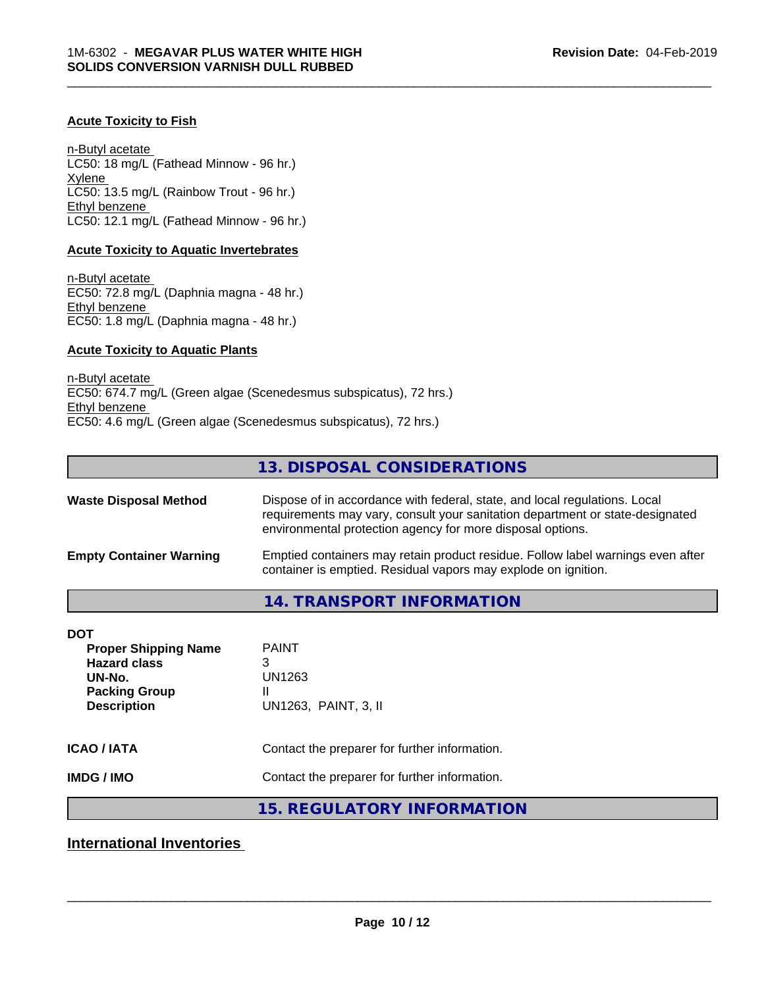### **Acute Toxicity to Fish**

n-Butyl acetate LC50: 18 mg/L (Fathead Minnow - 96 hr.) Xylene LC50: 13.5 mg/L (Rainbow Trout - 96 hr.) Ethyl benzene LC50: 12.1 mg/L (Fathead Minnow - 96 hr.)

#### **Acute Toxicity to Aquatic Invertebrates**

n-Butyl acetate EC50: 72.8 mg/L (Daphnia magna - 48 hr.) Ethyl benzene EC50: 1.8 mg/L (Daphnia magna - 48 hr.)

## **Acute Toxicity to Aquatic Plants**

n-Butyl acetate EC50: 674.7 mg/L (Green algae (Scenedesmus subspicatus), 72 hrs.) Ethyl benzene EC50: 4.6 mg/L (Green algae (Scenedesmus subspicatus), 72 hrs.)

# **13. DISPOSAL CONSIDERATIONS**

\_\_\_\_\_\_\_\_\_\_\_\_\_\_\_\_\_\_\_\_\_\_\_\_\_\_\_\_\_\_\_\_\_\_\_\_\_\_\_\_\_\_\_\_\_\_\_\_\_\_\_\_\_\_\_\_\_\_\_\_\_\_\_\_\_\_\_\_\_\_\_\_\_\_\_\_\_\_\_\_\_\_\_\_\_\_\_\_\_\_\_\_\_

| <b>Waste Disposal Method</b>   | Dispose of in accordance with federal, state, and local regulations. Local<br>requirements may vary, consult your sanitation department or state-designated<br>environmental protection agency for more disposal options. |
|--------------------------------|---------------------------------------------------------------------------------------------------------------------------------------------------------------------------------------------------------------------------|
| <b>Empty Container Warning</b> | Emptied containers may retain product residue. Follow label warnings even after<br>container is emptied. Residual vapors may explode on ignition.                                                                         |

## **14. TRANSPORT INFORMATION**

| DOT<br><b>Proper Shipping Name</b><br><b>Hazard class</b><br>UN-No.<br><b>Packing Group</b><br><b>Description</b> | <b>PAINT</b><br>3<br>UN1263<br>Ш<br>UN1263, PAINT, 3, II |
|-------------------------------------------------------------------------------------------------------------------|----------------------------------------------------------|
| <b>ICAO / IATA</b>                                                                                                | Contact the preparer for further information.            |
| <b>IMDG/IMO</b>                                                                                                   | Contact the preparer for further information.            |

## **15. REGULATORY INFORMATION**

**International Inventories**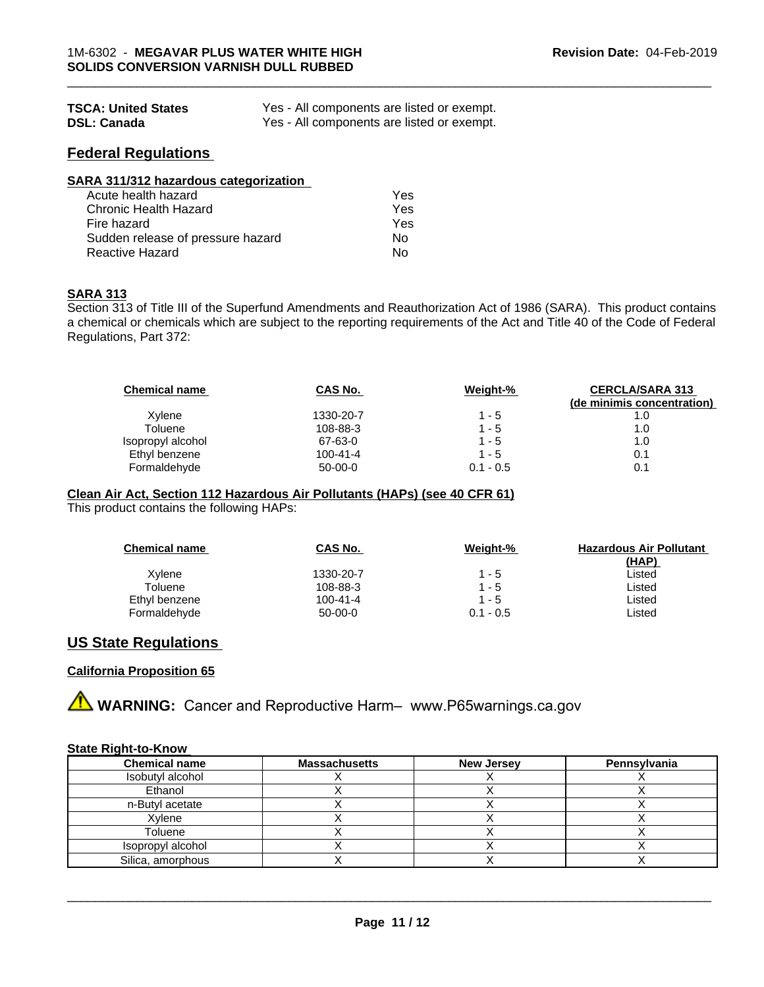| <b>TSCA: United States</b> | Yes - All components are listed or exempt. |
|----------------------------|--------------------------------------------|
| <b>DSL: Canada</b>         | Yes - All components are listed or exempt. |

## **Federal Regulations**

| SARA 311/312 hazardous categorization |     |  |
|---------------------------------------|-----|--|
| Acute health hazard                   | Yes |  |
| Chronic Health Hazard                 | Yes |  |
| Fire hazard                           | Yes |  |
| Sudden release of pressure hazard     | No  |  |
| <b>Reactive Hazard</b>                | No  |  |

#### **SARA 313**

Section 313 of Title III of the Superfund Amendments and Reauthorization Act of 1986 (SARA). This product contains a chemical or chemicals which are subject to the reporting requirements of the Act and Title 40 of the Code of Federal Regulations, Part 372:

| <b>Chemical name</b> | CAS No.   | Weight-%    | <b>CERCLA/SARA 313</b><br>(de minimis concentration) |
|----------------------|-----------|-------------|------------------------------------------------------|
| Xylene               | 1330-20-7 | 1 - 5       | 1.0                                                  |
| Toluene              | 108-88-3  | $1 - 5$     | 1.0                                                  |
| Isopropyl alcohol    | 67-63-0   | $1 - 5$     | 1.0                                                  |
| Ethyl benzene        | 100-41-4  | $1 - 5$     | 0.1                                                  |
| Formaldehyde         | $50-00-0$ | $0.1 - 0.5$ | 0.1                                                  |

\_\_\_\_\_\_\_\_\_\_\_\_\_\_\_\_\_\_\_\_\_\_\_\_\_\_\_\_\_\_\_\_\_\_\_\_\_\_\_\_\_\_\_\_\_\_\_\_\_\_\_\_\_\_\_\_\_\_\_\_\_\_\_\_\_\_\_\_\_\_\_\_\_\_\_\_\_\_\_\_\_\_\_\_\_\_\_\_\_\_\_\_\_

## **Clean Air Act,Section 112 Hazardous Air Pollutants (HAPs) (see 40 CFR 61)**

This product contains the following HAPs:

| <b>Chemical name</b> | CAS No.        | Weight-%    | <b>Hazardous Air Pollutant</b> |
|----------------------|----------------|-------------|--------------------------------|
|                      |                |             | (HAP)                          |
| Xylene               | 1330-20-7      | $1 - 5$     | Listed                         |
| Toluene              | 108-88-3       | 1 - 5       | Listed                         |
| Ethyl benzene        | $100 - 41 - 4$ | $1 - 5$     | Listed                         |
| Formaldehyde         | $50-00-0$      | $0.1 - 0.5$ | ∟isted                         |

## **US State Regulations**

#### **California Proposition 65**

**A WARNING:** Cancer and Reproductive Harm– www.P65warnings.ca.gov

#### **State Right-to-Know**

| <b>Chemical name</b> | <b>Massachusetts</b> | <b>New Jersey</b> | Pennsylvania |
|----------------------|----------------------|-------------------|--------------|
| Isobutyl alcohol     |                      |                   |              |
| Ethanol              |                      |                   |              |
| n-Butyl acetate      |                      |                   |              |
| Xylene               |                      |                   |              |
| Toluene              |                      |                   |              |
| Isopropyl alcohol    |                      |                   |              |
| Silica, amorphous    |                      |                   |              |